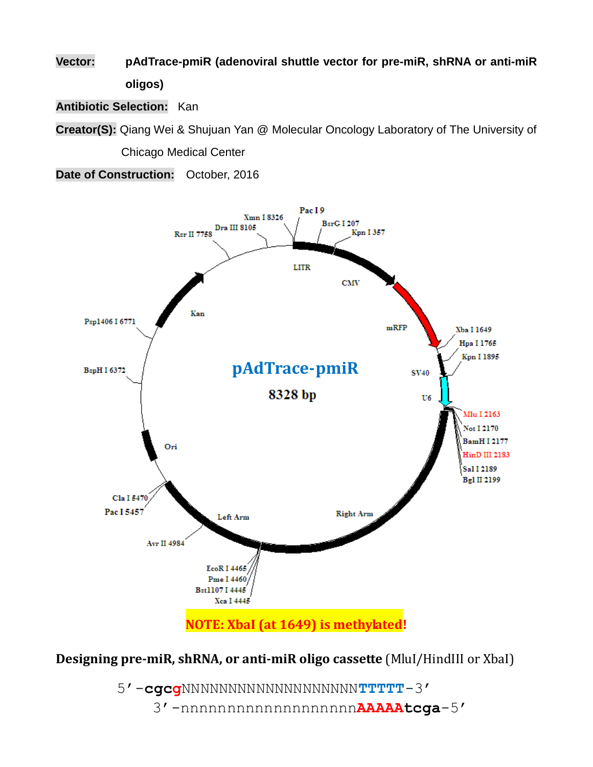**Vector: pAdTrace-pmiR (adenoviral shuttle vector for pre-miR, shRNA or anti-miR oligos)**

**Antibiotic Selection:** Kan

**Creator(S):** Qiang Wei & Shujuan Yan @ Molecular Oncology Laboratory of The University of Chicago Medical Center

**Date of Construction:** October, 2016



**Designing pre-miR, shRNA, or anti-miR oligo cassette** (MluI/HindIII or XbaI)

5'-**cgcg**NNNNNNNNNNNNNNNNNNN**TTTTT**-3' 3'-nnnnnnnnnnnnnnnnnnn**AAAAAtcga**-5'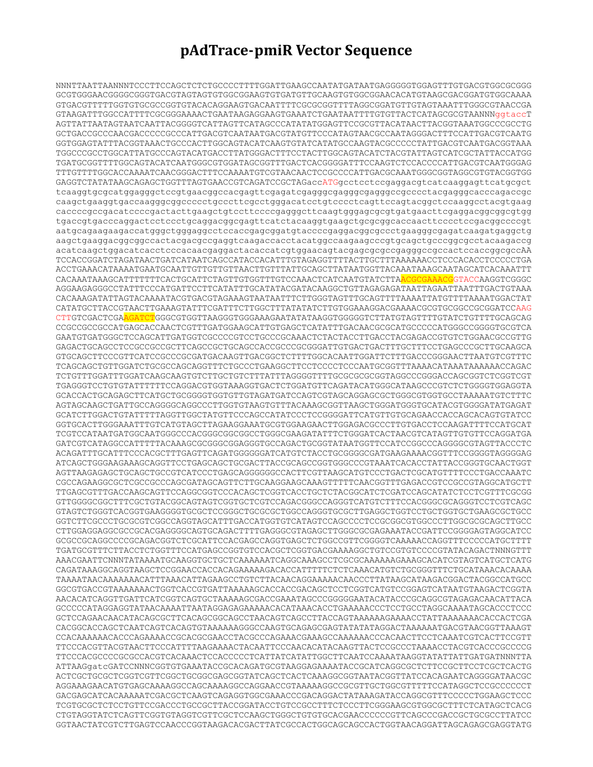## **pAdTrace-pmiR Vector Sequence**

NNNTTAATTAANNNTCCCTTCCAGCTCTCTGCCCCTTTTGGATTGAAGCCAATATGATAATGAGGGGGTGGAGTTTGTGACGTGGCGCGGG GCGTGGGAACGGGGCGGGTGACGTAGTAGTGTGGCGGAAGTGTGATGTTGCAAGTGTGGCGGAACACATGTAAGCGACGGATGTGGCAAAA GTGACGTTTTTGGTGTGCGCCGGTGTACACAGGAAGTGACAATTTTCGCGCGGTTTTAGGCGGATGTTGTAGTAAATTTGGGCGTAACCGA GTAAGATTTGGCCATTTTCGCGGGAAAACTGAATAAGAGGAAGTGAAATCTGAATAATTTTGTGTTACTCATAGCGCGTAANNNggtaccT AGTTATTAATAGTAATCAATTACGGGGTCATTAGTTCATAGCCCATATATGGAGTTCCGCGTTACATAACTTACGGTAAATGGCCCGCCTG GCTGACCGCCCAACGACCCCCGCCCATTGACGTCAATAATGACGTATGTTCCCATAGTAACGCCAATAGGGACTTTCCATTGACGTCAATG GGTGGAGTATTTACGGTAAACTGCCCACTTGGCAGTACATCAAGTGTATCATATGCCAAGTACGCCCCCTATTGACGTCAATGACGGTAAA TGGCCCGCCTGGCATTATGCCCAGTACATGACCTTATGGGACTTTCCTACTTGGCAGTACATCTACGTATTAGTCATCGCTATTACCATGG TGATGCGGTTTTGGCAGTACATCAATGGGCGTGGATAGCGGTTTGACTCACGGGGATTTCCAAGTCTCCACCCCATTGACGTCAATGGGAG TTTGTTTTGGCACCAAAATCAACGGGACTTTCCAAAATGTCGTAACAACTCCGCCCCATTGACGCAAATGGGCGGTAGGCGTGTACGGTGG GAGGTCTATATAAGCAGAGCTGGTTTAGTGAACCGTCAGATCCGCTAGaccATGgcctcctccgaggacgtcatcaaggagttcatgcgct tcaaggtgcgcatggagggctccgtgaacggccacgagttcgagatcgagggcgagggcgagggccgcccctacgagggcacccagaccgc caagctgaaggtgaccaagggcggccccctgcccttcgcctgggacatcctgtcccctcagttccagtacggctccaaggcctacgtgaag caccccgccgacatccccgactacttgaagctgtccttccccgagggcttcaagtgggagcgcgtgatgaacttcgaggacggcggcgtgg tgaccgtgacccaggactcctccctgcaggacggcgagttcatctacaaggtgaagctgcgcggcaccaacttcccctccgacggccccgt aatgcagaagaagaccatgggctgggaggcctccaccgagcggatgtaccccgaggacggcgccctgaagggcgagatcaagatgaggctg aagctgaaggacggcggccactacgacgccgaggtcaagaccacctacatggccaagaagcccgtgcagctgcccggcgcctacaagaccg acatcaagctggacatcacctcccacaacgaggactacaccatcgtggaacagtacgagcgcgccgagggccgccactccaccggcgccAA TCCACCGGATCTAGATAACTGATCATAATCAGCCATACCACATTTGTAGAGGTTTTACTTGCTTTAAAAAACCTCCCACACCTCCCCCTGA ACCTGAAACATAAAATGAATGCAATTGTTGTTGTTAACTTGTTTATTGCAGCTTATAATGGTTACAAATAAAGCAATAGCATCACAAATTT CACAAATAAAGCATTTTTTTCACTGCATTCTAGTTGTGGTTTGTCCAAACTCATCAATGTATCTTAACGCGAAACGGTACCAAGGTCGGGC AGGAAGAGGGCCTATTTCCCATGATTCCTTCATATTTGCATATACGATACAAGGCTGTTAGAGAGATAATTAGAATTAATTTGACTGTAAA CACAAAGATATTAGTACAAAATACGTGACGTAGAAAGTAATAATTTCTTGGGTAGTTTGCAGTTTTAAAATTATGTTTTAAAATGGACTAT CATATGCTTACCGTAACTTGAAAGTATTTCGATTTCTTGGCTTTATATATCTTGTGGAAAGGACGAAAACGCGTGCGGCCGCGGATCCAAG CTTGTCGACTCGAAGATCTGGGCGTGGTTAAGGGTGGGAAAGAATATATAAGGTGGGGGTCTTATGTAGTTTTGTATCTGTTTTGCAGCAG CCGCCGCCGCCATGAGCACCAACTCGTTTGATGGAAGCATTGTGAGCTCATATTTGACAACGCGCATGCCCCCATGGGCCGGGGTGCGTCA GAATGTGATGGGCTCCAGCATTGATGGTCGCCCCGTCCTGCCCGCAAACTCTACTACCTTGACCTACGAGACCGTGTCTGGAACGCCGTTG GAGACTGCAGCCTCCGCCGCCGCTTCAGCCGCTGCAGCCACCGCCCGCGGGATTGTGACTGACTTTGCTTTCCTGAGCCCGCTTGCAAGCA GTGCAGCTTCCCGTTCATCCGCCCGCGATGACAAGTTGACGGCTCTTTTGGCACAATTGGATTCTTTGACCCGGGAACTTAATGTCGTTTC TCAGCAGCTGTTGGATCTGCGCCAGCAGGTTTCTGCCCTGAAGGCTTCCTCCCCTCCCAATGCGGTTTAAAACATAAATAAAAAACCAGAC TCTGTTTGGATTTGGATCAAGCAAGTGTCTTGCTGTCTTTATTTAGGGGTTTTGCGCGCGCGGTAGGCCCGGGACCAGCGGTCTCGGTCGT TGAGGGTCCTGTGTATTTTTTCCAGGACGTGGTAAAGGTGACTCTGGATGTTCAGATACATGGGCATAAGCCCGTCTCTGGGGTGGAGGTA GCACCACTGCAGAGCTTCATGCTGCGGGGTGGTGTTGTAGATGATCCAGTCGTAGCAGGAGCGCTGGGCGTGGTGCCTAAAAATGTCTTTC AGTAGCAAGCTGATTGCCAGGGGCAGGCCCTTGGTGTAAGTGTTTACAAAGCGGTTAAGCTGGGATGGGTGCATACGTGGGGATATGAGAT GCATCTTGGACTGTATTTTTAGGTTGGCTATGTTCCCAGCCATATCCCTCCGGGGATTCATGTTGTGCAGAACCACCAGCACAGTGTATCC GGTGCACTTGGGAAATTTGTCATGTAGCTTAGAAGGAAATGCGTGGAAGAACTTGGAGACGCCCTTGTGACCTCCAAGATTTTCCATGCAT TCGTCCATAATGATGGCAATGGGCCCACGGGCGGCGGCCTGGGCGAAGATATTTCTGGGATCACTAACGTCATAGTTGTGTTCCAGGATGA GATCGTCATAGGCCATTTTTACAAAGCGCGGGCGGAGGGTGCCAGACTGCGGTATAATGGTTCCATCCGGCCCAGGGGCGTAGTTACCCTC ACAGATTTGCATTTCCCACGCTTTGAGTTCAGATGGGGGGATCATGTCTACCTGCGGGGCGATGAAGAAAACGGTTTCCGGGGTAGGGGAG ATCAGCTGGGAAGAAAGCAGGTTCCTGAGCAGCTGCGACTTACCGCAGCCGGTGGGCCCGTAAATCACACCTATTACCGGGTGCAACTGGT AGTTAAGAGAGCTGCAGCTGCCGTCATCCCTGAGCAGGGGGGCCACTTCGTTAAGCATGTCCCTGACTCGCATGTTTTCCCTGACCAAATC CGCCAGAAGGCGCTCGCCGCCCAGCGATAGCAGTTCTTGCAAGGAAGCAAAGTTTTTCAACGGTTTGAGACCGTCCGCCGTAGGCATGCTT TTGAGCGTTTGACCAAGCAGTTCCAGGCGGTCCCACAGCTCGGTCACCTGCTCTACGGCATCTCGATCCAGCATATCTCCTCGTTTCGCGG GTTGGGGCGGCTTTCGCTGTACGGCAGTAGTCGGTGCTCGTCCAGACGGGCCAGGGTCATGTCTTTCCACGGGCGCAGGGTCCTCGTCAGC GTAGTCTGGGTCACGGTGAAGGGGTGCGCTCCGGGCTGCGCGCTGGCCAGGGTGCGCTTGAGGCTGGTCCTGCTGGTGCTGAAGCGCTGCC GGTCTTCGCCCTGCGCGTCGGCCAGGTAGCATTTGACCATGGTGTCATAGTCCAGCCCCTCCGCGGCGTGGCCCTTGGCGCGCAGCTTGCC CTTGGAGGAGGCGCCGCACGAGGGGCAGTGCAGACTTTTGAGGGCGTAGAGCTTGGGCGCGAGAAATACCGATTCCGGGGAGTAGGCATCC GCGCCGCAGGCCCCGCAGACGGTCTCGCATTCCACGAGCCAGGTGAGCTCTGGCCGTTCGGGGTCAAAAACCAGGTTTCCCCCATGCTTTT TGATGCGTTTCTTACCTCTGGTTTCCATGAGCCGGTGTCCACGCTCGGTGACGAAAAGGCTGTCCGTGTCCCCGTATACAGACTNNNGTTT AAACGAATTCNNNTATAAAATGCAAGGTGCTGCTCAAAAAATCAGGCAAAGCCTCGCGCAAAAAAGAAAGCACATCGTAGTCATGCTCATG CAGATAAAGGCAGGTAAGCTCCGGAACCACCACAGAAAAAGACACCATTTTTCTCTCAAACATGTCTGCGGGTTTCTGCATAAACACAAAA TAAAATAACAAAAAAACATTTAAACATTAGAAGCCTGTCTTACAACAGGAAAAACAACCCTTATAAGCATAAGACGGACTACGGCCATGCC GGCGTGACCGTAAAAAAACTGGTCACCGTGATTAAAAAGCACCACCGACAGCTCCTCGGTCATGTCCGGAGTCATAATGTAAGACTCGGTA AACACATCAGGTTGATTCATCGGTCAGTGCTAAAAAGCGACCGAAATAGCCCGGGGGAATACATACCCGCAGGCGTAGAGACAACATTACA GCCCCCATAGGAGGTATAACAAAATTAATAGGAGAGAAAAACACATAAACACCTGAAAAACCCTCCTGCCTAGGCAAAATAGCACCCTCCC GCTCCAGAACAACATACAGCGCTTCACAGCGGCAGCCTAACAGTCAGCCTTACCAGTAAAAAAGAAAACCTATTAAAAAAACACCACTCGA CACGGCACCAGCTCAATCAGTCACAGTGTAAAAAAGGGCCAAGTGCAGAGCGAGTATATATAGGACTAAAAAATGACGTAACGGTTAAAGT CCACAAAAAACACCCAGAAAACCGCACGCGAACCTACGCCCAGAAACGAAAGCCAAAAAACCCACAACTTCCTCAAATCGTCACTTCCGTT TTCCCACGTTACGTAACTTCCCATTTTAAGAAAACTACAATTCCCAACACATACAAGTTACTCCGCCCTAAAACCTACGTCACCCGCCCCG TTCCCACGCCCCGCGCCACGTCACAAACTCCACCCCCTCATTATCATATTGGCTTCAATCCAAAATAAGGTATATTATTGATGATNNNTTA ATTAAGgatcGATCCNNNCGGTGTGAAATACCGCACAGATGCGTAAGGAGAAAATACCGCATCAGGCGCTCTTCCGCTTCCTCGCTCACTG ACTCGCTGCGCTCGGTCGTTCGGCTGCGGCGAGCGGTATCAGCTCACTCAAAGGCGGTAATACGGTTATCCACAGAATCAGGGGATAACGC AGGAAAGAACATGTGAGCAAAAGGCCAGCAAAAGGCCAGGAACCGTAAAAAGGCCGCGTTGCTGGCGTTTTTCCATAGGCTCCGCCCCCCT GACGAGCATCACAAAAATCGACGCTCAAGTCAGAGGTGGCGAAACCCGACAGGACTATAAAGATACCAGGCGTTTCCCCCTGGAAGCTCCC TCGTGCGCTCTCCTGTTCCGACCCTGCCGCTTACCGGATACCTGTCCGCCTTTCTCCCTTCGGGAAGCGTGGCGCTTTCTCATAGCTCACG CTGTAGGTATCTCAGTTCGGTGTAGGTCGTTCGCTCCAAGCTGGGCTGTGTGCACGAACCCCCCGTTCAGCCCGACCGCTGCGCCTTATCC GGTAACTATCGTCTTGAGTCCAACCCGGTAAGACACGACTTATCGCCACTGGCAGCAGCCACTGGTAACAGGATTAGCAGAGCGAGGTATG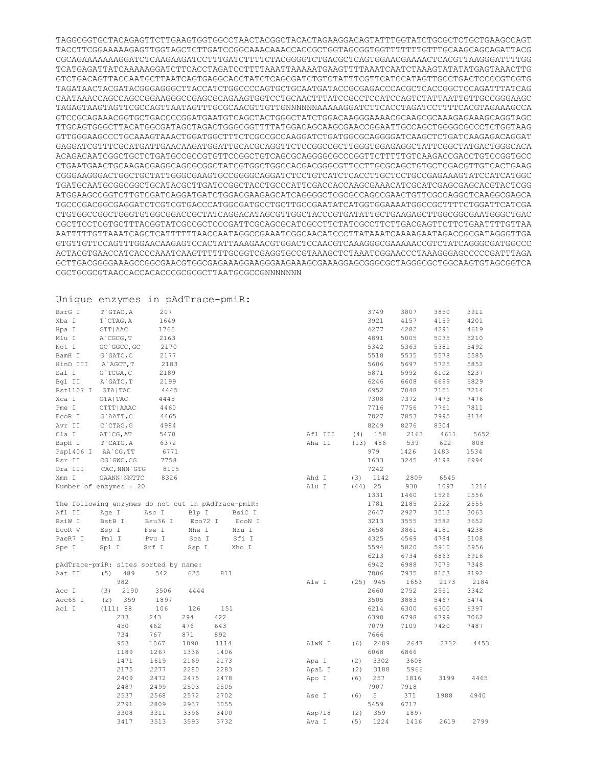TAGGCGGTGCTACAGAGTTCTTGAAGTGGTGGCCTAACTACGGCTACACTAGAAGGACAGTATTTGGTATCTGCGCTCTGCTGAAGCCAGT TACCTTCGGAAAAAGAGTTGGTAGCTCTTGATCCGGCAAACAAACCACCGCTGGTAGCGGTGGTTTTTTTGTTTGCAAGCAGCAGATTACG CGCAGAAAAAAAGGATCTCAAGAAGATCCTTTGATCTTTTCTACGGGGTCTGACGCTCAGTGGAACGAAAACTCACGTTAAGGGATTTTGG TCATGAGATTATCAAAAAGGATCTTCACCTAGATCCTTTTAAATTAAAAATGAAGTTTTAAATCAATCTAAAGTATATATGAGTAAACTTG GTCTGACAGTTACCAATGCTTAATCAGTGAGGCACCTATCTCAGCGATCTGTCTATTTCGTTCATCCATAGTTGCCTGACTCCCCGTCGTG TAGATAACTACGATACGGGAGGGCTTACCATCTGGCCCCAGTGCTGCAATGATACCGCGAGACCCACGCTCACCGGCTCCAGATTTATCAG CAATAAACCAGCCAGCCGGAAGGGCCGAGCGCAGAAGTGGTCCTGCAACTTTATCCGCCTCCATCCAGTCTATTAATTGTTGCCGGGAAGC TAGAGTAAGTAGTTCGCCAGTTAATAGTTTGCGCAACGTTGTTGNNNNNNAAAAAGGATCTTCACCTAGATCCTTTTCACGTAGAAAGCCA GTCCGCAGAAACGGTGCTGACCCCGGATGAATGTCAGCTACTGGGCTATCTGGACAAGGGAAAACGCAAGCGCAAAGAGAAAGCAGGTAGC TTGCAGTGGGCTTACATGGCGATAGCTAGACTGGGCGGTTTTATGGACAGCAAGCGAACCGGAATTGCCAGCTGGGGCGCCCTCTGGTAAG GTTGGGAAGCCCTGCAAAGTAAACTGGATGGCTTTCTCGCCGCCAAGGATCTGATGGCGCAGGGGATCAAGCTCTGATCAAGAGACAGGAT GAGGATCGTTTCGCATGATTGAACAAGATGGATTGCACGCAGGTTCTCCGGCCGCTTGGGTGGAGAGGCTATTCGGCTATGACTGGGCACA ACAGACAATCGGCTGCTCTGATGCCGCCGTGTTCCGGCTGTCAGCGCAGGGGCGCCCGGTTCTTTTTGTCAAGACCGACCTGTCCGGTGCC CTGAATGAACTGCAAGACGAGGCAGCGCGGCTATCGTGGCTGGCCACGACGGGCGTTCCTTGCGCAGCTGTGCTCGACGTTGTCACTGAAG CGGGAAGGGACTGGCTGCTATTGGGCGAAGTGCCGGGGCAGGATCTCCTGTCATCTCACCTTGCTCCTGCCGAGAAAGTATCCATCATGGC TGATGCAATGCGGCGGCTGCATACGCTTGATCCGGCTACCTGCCCATTCGACCACCAAGCGAAACATCGCATCGAGCGAGCACGTACTCGG ATGGAAGCCGGTCTTGTCGATCAGGATGATCTGGACGAAGAGCATCAGGGGCTCGCGCCAGCCGAACTGTTCGCCAGGCTCAAGGCGAGCA TGCCCGACGGCGAGGATCTCGTCGTGACCCATGGCGATGCCTGCTTGCCGAATATCATGGTGGAAAATGGCCGCTTTTCTGGATTCATCGA CTGTGGCCGGCTGGGTGTGGCGGACCGCTATCAGGACATAGCGTTGGCTACCCGTGATATTGCTGAAGAGCTTGGCGGCGAATGGGCTGAC CGCTTCCTCGTGCTTTACGGTATCGCCGCTCCCGATTCGCAGCGCATCGCCTTCTATCGCCTTCTTGACGAGTTCTTCTGAATTTTGTTAA AATTTTTGTTAAATCAGCTCATTTTTTAACCAATAGGCCGAAATCGGCAACATCCCTTATAAATCAAAAGAATAGACCGCGATAGGGTTGA GTGTTGTTCCAGTTTGGAACAAGAGTCCACTATTAAAGAACGTGGACTCCAACGTCAAAGGGCGAAAAACCGTCTATCAGGGCGATGGCCC ACTACGTGAACCATCACCCAAATCAAGTTTTTTGCGGTCGAGGTGCCGTAAAGCTCTAAATCGGAACCCTAAAGGGAGCCCCCGATTTAGA GCTTGACGGGGAAAGCCGGCGAACGTGGCGAGAAAGGAAGGGAAGAAAGCGAAAGGAGCGGGCGCTAGGGCGCTGGCAAGTGTAGCGGTCA CGCTGCGCGTAACCACCACACCCGCGCGCTTAATGCGCCGNNNNNNN

## Unique enzymes in pAdTrace-pmiR: BsrG I T`GTAC, A 207 Xba I T`CTAG, A 1649 Hpa I GTT|AAC 1765 Mlu I A`CGCG, T 2163 Not I GC`GGCC, GC 2170 BamH I G`GATC, C 2177 HinD III A`AGCT,T 2183 Sal I G`TCGA, C 2189 Bgl II A`GATC.T 2199 Bst1107 I GTA|TAC 4445 Xca I GTA|TAC 4445 Pme I CTTT|AAAC 4460 ECOR I G`AATT, C 4465 Avr II C`CTAG,G 4984 Cla I AT`CG, AT 5470 BspH I T`CATG, A 6372 Psp1406 I AA`CG, TT 6771 Rsr II CG`GWC, CG 7758 Dra III CAC,NNN`GTG 8105 Xmn I GAANN|NNTTC 8326 3749 3807 3850 3911 7242

|         |        | The following enzymes do not cut in pAdTrace-pmiR: |         |        |
|---------|--------|----------------------------------------------------|---------|--------|
| Afl II  | Age I  | Asc I                                              | Blp I   | BsiC I |
| BsiW I  | BstB I | Bsu36 I                                            | Eco72 I | EcoN I |
| EcoR V  | Esp I  | Fse I                                              | Nhe I   | Nru I  |
| PaeR7 I | Pml I  | Pvu I                                              | Sca I   | Sfi I  |
| Spe I   | Spl I  | Srf I                                              | Ssp I   | Xho I  |

Number of enzymes = 20

| pAdTrace-pmiR: sites sorted by name: |            |      |      |      |
|--------------------------------------|------------|------|------|------|
| Aat II                               | $(5)$ 489  | 542  | 625  | 811  |
|                                      | 982        |      |      |      |
| Acc I                                | $(3)$ 2190 | 3506 | 4444 |      |
| Acc65 I                              | $(2)$ 359  | 1897 |      |      |
| Aci I                                | (111) 88   | 106  | 126  | 151  |
|                                      | 233        | 243  | 294  | 422  |
|                                      | 450        | 462  | 476  | 643  |
|                                      | 734        | 767  | 871  | 892  |
|                                      | 953        | 1067 | 1090 | 1114 |
|                                      | 1189       | 1267 | 1336 | 1406 |
|                                      | 1471       | 1619 | 2169 | 2173 |
|                                      | 2175       | 2277 | 2280 | 2283 |
|                                      | 2409       | 2472 | 2475 | 2478 |
|                                      | 2487       | 2499 | 2503 | 2505 |
|                                      | 2537       | 2568 | 2572 | 2702 |
|                                      | 2791       | 2809 | 2937 | 3055 |
|                                      | 3308       | 3311 | 3396 | 3400 |
|                                      | 3417       | 3513 | 3593 | 3732 |

|         |     | 3921       | 4157 | 4159 | 4201 |
|---------|-----|------------|------|------|------|
|         |     | 4277       | 4282 | 4291 | 4619 |
|         |     | 4891       | 5005 | 5035 | 5210 |
|         |     | 5342       | 5363 | 5381 | 5492 |
|         |     | 5518       | 5535 | 5578 | 5585 |
|         |     | 5606       | 5697 | 5725 | 5852 |
|         |     | 5871       | 5992 | 6102 | 6237 |
|         |     | 6246       | 6608 | 6699 | 6829 |
|         |     | 6952       | 7048 | 7151 | 7214 |
|         |     | 7308       | 7372 | 7473 | 7476 |
|         |     | 7716       | 7756 | 7761 | 7811 |
|         |     | 7827       | 7853 | 7995 | 8134 |
|         |     | 8249       | 8276 | 8304 |      |
| Afl III | (4) | 158        | 2163 | 4611 | 5652 |
| Aha II  |     | $(13)$ 486 | 539  | 622  | 808  |
|         |     | 979        | 1426 | 1483 | 1534 |
|         |     | 1633       | 3245 | 4198 | 6994 |
|         |     | 7242       |      |      |      |
| Ahd I   | (3) | 1142       | 2809 | 6545 |      |
| Alu I   |     | $(44)$ 25  | 930  | 1097 | 1214 |
|         |     | 1331       | 1460 | 1526 | 1556 |
|         |     | 1781       | 2185 | 2322 | 2555 |
|         |     | 2647       | 2927 | 3013 | 3063 |
|         |     | 3213       | 3555 | 3582 | 3652 |
|         |     | 3658       | 3861 | 4181 | 4238 |
|         |     | 4325       | 4569 | 4784 | 5108 |
|         |     | 5594       | 5820 | 5910 | 5956 |
|         |     | 6213       | 6734 | 6863 | 6916 |
|         |     | 6942       | 6988 | 7079 | 7348 |
|         |     | 7806       | 7935 | 8153 | 8192 |
| Alw I   |     | $(25)$ 945 | 1653 | 2173 | 2184 |
|         |     | 2660       | 2752 | 2951 | 3342 |
|         |     | 3505       | 3883 | 5467 | 5474 |
|         |     | 6214       | 6300 | 6300 | 6397 |
|         |     | 6398       | 6798 | 6799 | 7062 |
|         |     | 7079       | 7109 | 7420 | 7487 |
|         |     | 7666       |      |      |      |
| AlwN I  | (6) | 2489       | 2647 | 2732 | 4453 |
|         |     | 6068       | 6866 |      |      |
| Apa I   | (2) | 3302       | 3608 |      |      |
| ApaL I  | (2) | 3188       | 5966 |      |      |
| Apo I   | (6) | 257        | 1816 | 3199 | 4465 |
|         |     | 7907       | 7918 |      |      |
| Ase I   | (6) | 5          | 371  | 1988 | 4940 |
|         |     | 5459       | 6717 |      |      |
| Asp718  | (2) | 359        | 1897 |      |      |
| Ava I   |     | $(5)$ 1224 | 1416 | 2619 | 2799 |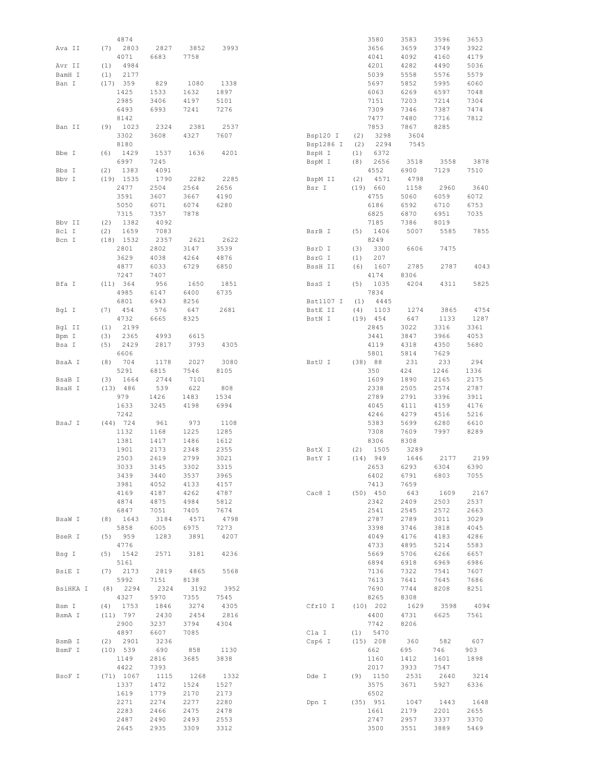|          |     | 4874        |      |      |      |           |         | 3580       | 3583 | 3596 | 3653 |
|----------|-----|-------------|------|------|------|-----------|---------|------------|------|------|------|
| Ava II   | (7) | 2803        | 2827 | 3852 | 3993 |           |         | 3656       | 3659 | 3749 | 3922 |
|          |     | 4071        | 6683 | 7758 |      |           |         | 4041       | 4092 | 4160 | 4179 |
|          |     |             |      |      |      |           |         |            |      |      |      |
| Avr II   | (1) | 4984        |      |      |      |           |         | 4201       | 4282 | 4490 | 5036 |
| BamH I   | (1) | 2177        |      |      |      |           |         | 5039       | 5558 | 5576 | 5579 |
| Ban I    |     | (17) 359    | 829  | 1080 | 1338 |           |         | 5697       | 5852 | 5995 | 6060 |
|          |     | 1425        | 1533 | 1632 | 1897 |           |         | 6063       | 6269 | 6597 | 7048 |
|          |     | 2985        | 3406 | 4197 | 5101 |           |         | 7151       | 7203 | 7214 | 7304 |
|          |     | 6493        | 6993 | 7241 | 7276 |           |         | 7309       |      |      | 7474 |
|          |     |             |      |      |      |           |         |            | 7346 | 7387 |      |
|          |     | 8142        |      |      |      |           |         | 7477       | 7480 | 7716 | 7812 |
| Ban II   |     | $(9)$ 1023  | 2324 | 2381 | 2537 |           |         | 7853       | 7867 | 8285 |      |
|          |     | 3302        | 3608 | 4327 | 7607 | Bsp120 I  | (2)     | 3298       | 3604 |      |      |
|          |     | 8180        |      |      |      | Bsp1286 I | (2)     | 2294       | 7545 |      |      |
| Bbe I    | (6) | 1429        | 1537 | 1636 | 4201 | BspH I    | (1)     | 6372       |      |      |      |
|          |     |             |      |      |      |           |         |            |      |      |      |
|          |     | 6997        | 7245 |      |      | BspM I    | (8)     | 2656       | 3518 | 3558 | 3878 |
| Bbs I    | (2) | 1383        | 4091 |      |      |           |         | 4552       | 6900 | 7129 | 7510 |
| Bbv I    |     | $(19)$ 1535 | 1790 | 2282 | 2285 | BspM II   | (2)     | 4571       | 4798 |      |      |
|          |     | 2477        | 2504 | 2564 | 2656 | Bsr I     | (19)    | 660        | 1158 | 2960 | 3640 |
|          |     | 3591        | 3607 | 3667 | 4190 |           |         | 4755       | 5060 | 6059 | 6072 |
|          |     |             |      |      |      |           |         |            |      |      |      |
|          |     | 5050        | 6071 | 6074 | 6280 |           |         | 6186       | 6592 | 6710 | 6753 |
|          |     | 7315        | 7357 | 7878 |      |           |         | 6825       | 6870 | 6951 | 7035 |
| Bbv II   | (2) | 1382        | 4092 |      |      |           |         | 7185       | 7386 | 8019 |      |
| Bcl I    | (2) | 1659        | 7083 |      |      | BsrB I    | (5)     | 1406       | 5007 | 5585 | 7855 |
| Bcn I    |     | $(18)$ 1532 | 2357 | 2621 | 2622 |           |         | 8249       |      |      |      |
|          |     | 2801        | 2802 | 3147 | 3539 | BsrD I    | (3)     | 3300       | 6606 | 7475 |      |
|          |     |             |      |      |      |           |         |            |      |      |      |
|          |     | 3629        | 4038 | 4264 | 4876 | BsrG I    | (1)     | 207        |      |      |      |
|          |     | 4877        | 6033 | 6729 | 6850 | BssH II   | (6)     | 1607       | 2785 | 2787 | 4043 |
|          |     | 7247        | 7407 |      |      |           |         | 4174       | 8306 |      |      |
| Bfa I    |     | (11) 364    | 956  | 1650 | 1851 | BssS I    | (5)     | 1035       | 4204 | 4311 | 5825 |
|          |     | 4985        | 6147 | 6400 | 6735 |           |         | 7834       |      |      |      |
|          |     |             |      |      |      |           |         |            |      |      |      |
|          |     | 6801        | 6943 | 8256 |      | Bst1107 I | (1)     | 4445       |      |      |      |
| Bgl I    | (7) | 454         | 576  | 647  | 2681 | BstE II   | (4)     | 1103       | 1274 | 3865 | 4754 |
|          |     | 4732        | 6665 | 8325 |      | BstN I    |         | $(19)$ 454 | 647  | 1133 | 1287 |
| Bgl II   | (1) | 2199        |      |      |      |           |         | 2845       | 3022 | 3316 | 3361 |
| Bpm I    | (3) | 2365        | 4993 | 6615 |      |           |         | 3441       | 3847 | 3966 | 4053 |
|          | (5) | 2429        | 2817 | 3793 | 4305 |           |         | 4119       | 4318 | 4350 | 5680 |
| Bsa I    |     |             |      |      |      |           |         |            |      |      |      |
|          |     | 6606        |      |      |      |           |         | 5801       | 5814 | 7629 |      |
| BsaA I   | (8) | 704         | 1178 | 2027 | 3080 | BstU I    | (38) 88 |            | 231  | 233  | 294  |
|          |     | 5291        | 6815 | 7546 | 8105 |           |         | 350        | 424  | 1246 | 1336 |
| BsaB I   | (3) | 1664        | 2744 | 7101 |      |           |         | 1609       | 1890 | 2165 | 2175 |
| BsaH I   |     | (13) 486    | 539  | 622  | 808  |           |         | 2338       | 2505 | 2574 | 2787 |
|          |     |             |      |      |      |           |         |            |      |      |      |
|          |     | 979         | 1426 | 1483 | 1534 |           |         | 2789       | 2791 | 3396 | 3911 |
|          |     | 1633        | 3245 | 4198 | 6994 |           |         | 4045       | 4111 | 4159 | 4176 |
|          |     | 7242        |      |      |      |           |         | 4246       | 4279 | 4516 | 5216 |
| BsaJ I   |     | $(44)$ 724  | 961  | 973  | 1108 |           |         | 5383       | 5699 | 6280 | 6610 |
|          |     | 1132        | 1168 | 1225 | 1285 |           |         | 7308       | 7609 | 7997 | 8289 |
|          |     |             |      |      |      |           |         |            |      |      |      |
|          |     | 1381        | 1417 | 1486 | 1612 |           |         | 8306       | 8308 |      |      |
|          |     | 1901        | 2173 | 2348 | 2355 | BstX I    | (2)     | 1505       | 3289 |      |      |
|          |     | 2503        | 2619 | 2799 | 3021 | BstY I    |         | $(14)$ 949 | 1646 | 2177 | 2199 |
|          |     | 3033        | 3145 | 3302 | 3315 |           |         | 2653       | 6293 | 6304 | 6390 |
|          |     | 3439        | 3440 | 3537 | 3965 |           |         | 6402       | 6791 | 6803 | 7055 |
|          |     | 3981        | 4052 | 4133 | 4157 |           |         | 7413       | 7659 |      |      |
|          |     |             |      |      |      |           |         |            |      |      |      |
|          |     | 4169        | 4187 | 4262 | 4787 | Cac8 I    |         | $(50)$ 450 | 643  | 1609 | 2167 |
|          |     | 4874        | 4875 | 4984 | 5812 |           |         | 2342       | 2409 | 2503 | 2537 |
|          |     | 6847        | 7051 | 7405 | 7674 |           |         | 2541       | 2545 | 2572 | 2663 |
| BsaW I   |     | $(8)$ 1643  | 3184 | 4571 | 4798 |           |         | 2787       | 2789 | 3011 | 3029 |
|          |     | 5858        | 6005 | 6975 | 7273 |           |         | 3398       | 3746 | 3818 | 4045 |
| BseR I   | (5) | 959         | 1283 | 3891 | 4207 |           |         | 4049       | 4176 | 4183 | 4286 |
|          |     | 4776        |      |      |      |           |         | 4733       | 4895 | 5214 | 5583 |
|          |     |             |      |      |      |           |         |            |      |      |      |
| Bsq I    | (5) | 1542        | 2571 | 3181 | 4236 |           |         | 5669       | 5706 | 6266 | 6657 |
|          |     | 5161        |      |      |      |           |         | 6894       | 6918 | 6969 | 6986 |
| BsiE I   |     | $(7)$ 2173  | 2819 | 4865 | 5568 |           |         | 7136       | 7322 | 7541 | 7607 |
|          |     | 5992        | 7151 | 8138 |      |           |         | 7613       | 7641 | 7645 | 7686 |
| BsiHKA I |     | $(8)$ 2294  | 2324 | 3192 | 3952 |           |         | 7690       | 7744 | 8208 | 8251 |
|          |     | 4327        | 5970 |      |      |           |         |            | 8308 |      |      |
|          |     |             |      | 7355 | 7545 |           |         | 8265       |      |      |      |
| Bsm I    | (4) | 1753        | 1846 | 3274 | 4305 | Cfr10 I   |         | $(10)$ 202 | 1629 | 3598 | 4094 |
| BsmA I   |     | (11) 797    | 2430 | 2454 | 2816 |           |         | 4400       | 4731 | 6625 | 7561 |
|          |     | 2900        | 3237 | 3794 | 4304 |           |         | 7742       | 8206 |      |      |
|          |     | 4897        | 6607 | 7085 |      | Cla I     | (1)     | 5470       |      |      |      |
| BsmB I   | (2) | 2901        | 3236 |      |      | Csp6 I    |         | $(15)$ 208 | 360  | 582  | 607  |
|          |     |             |      |      |      |           |         |            |      |      |      |
| BsmF I   |     | $(10)$ 539  | 690  | 858  | 1130 |           |         | 662        | 695  | 746  | 903  |
|          |     | 1149        | 2816 | 3685 | 3838 |           |         | 1160       | 1412 | 1601 | 1898 |
|          |     | 4422        | 7393 |      |      |           |         | 2017       | 3933 | 7547 |      |
| BsoF I   |     | (71) 1067   | 1115 | 1268 | 1332 | Dde I     |         | $(9)$ 1150 | 2531 | 2640 | 3214 |
|          |     | 1337        | 1472 | 1524 | 1527 |           |         | 3575       | 3671 | 5927 | 6336 |
|          |     | 1619        | 1779 | 2170 | 2173 |           |         | 6502       |      |      |      |
|          |     |             |      |      |      |           |         |            |      |      |      |
|          |     | 2271        | 2274 | 2277 | 2280 | Dpn I     |         | (35) 951   | 1047 | 1443 | 1648 |
|          |     | 2283        | 2466 | 2475 | 2478 |           |         | 1661       | 2179 | 2201 | 2655 |
|          |     | 2487        | 2490 | 2493 | 2553 |           |         | 2747       | 2957 | 3337 | 3370 |
|          |     | 2645        | 2935 | 3309 | 3312 |           |         | 3500       | 3551 | 3889 | 5469 |
|          |     |             |      |      |      |           |         |            |      |      |      |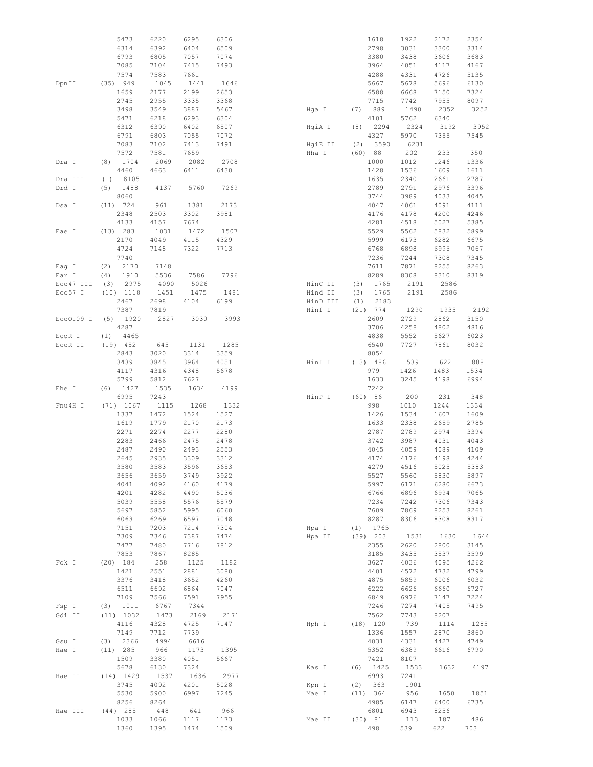|           | 5473        | 6220 | 6295 | 6306 |          | 1618        | 1922 | 2172 | 2354 |
|-----------|-------------|------|------|------|----------|-------------|------|------|------|
|           | 6314        | 6392 | 6404 | 6509 |          | 2798        | 3031 | 3300 | 3314 |
|           | 6793        | 6805 | 7057 | 7074 |          | 3380        | 3438 | 3606 | 3683 |
|           |             |      |      |      |          |             |      |      |      |
|           | 7085        | 7104 | 7415 | 7493 |          | 3964        | 4051 | 4117 | 4167 |
|           | 7574        | 7583 | 7661 |      |          | 4288        | 4331 | 4726 | 5135 |
| DpnII     | (35) 949    | 1045 | 1441 | 1646 |          | 5667        | 5678 | 5696 | 6130 |
|           | 1659        | 2177 | 2199 | 2653 |          | 6588        | 6668 | 7150 | 7324 |
|           | 2745        | 2955 | 3335 | 3368 |          | 7715        | 7742 | 7955 | 8097 |
|           |             |      |      |      |          |             |      |      |      |
|           | 3498        | 3549 | 3887 | 5467 | Hqa I    | 889<br>(7)  | 1490 | 2352 | 3252 |
|           | 5471        | 6218 | 6293 | 6304 |          | 4101        | 5762 | 6340 |      |
|           | 6312        | 6390 | 6402 | 6507 | HqiA I   | 2294<br>(8) | 2324 | 3192 | 3952 |
|           | 6791        | 6803 | 7055 | 7072 |          | 4327        | 5970 | 7355 | 7545 |
|           | 7083        | 7102 | 7413 | 7491 | HqiE II  | 3590<br>(2) | 6231 |      |      |
|           |             |      |      |      |          |             |      |      |      |
|           | 7572        | 7581 | 7659 |      | Hha I    | (60)<br>88  | 202  | 233  | 350  |
| Dra I     | 1704<br>(8) | 2069 | 2082 | 2708 |          | 1000        | 1012 | 1246 | 1336 |
|           | 4460        | 4663 | 6411 | 6430 |          | 1428        | 1536 | 1609 | 1611 |
| Dra III   | 8105<br>(1) |      |      |      |          | 1635        | 2340 | 2661 | 2787 |
| Drd I     | 1488<br>(5) | 4137 | 5760 | 7269 |          | 2789        | 2791 | 2976 | 3396 |
|           |             |      |      |      |          |             |      |      |      |
|           | 8060        |      |      |      |          | 3744        | 3989 | 4033 | 4045 |
| Dsa I     | $(11)$ 724  | 961  | 1381 | 2173 |          | 4047        | 4061 | 4091 | 4111 |
|           | 2348        | 2503 | 3302 | 3981 |          | 4176        | 4178 | 4200 | 4246 |
|           | 4133        | 4157 | 7674 |      |          | 4281        | 4518 | 5027 | 5385 |
| Eae I     | (13) 283    | 1031 | 1472 | 1507 |          | 5529        | 5562 | 5832 | 5899 |
|           |             |      |      |      |          |             |      |      |      |
|           | 2170        | 4049 | 4115 | 4329 |          | 5999        | 6173 | 6282 | 6675 |
|           | 4724        | 7148 | 7322 | 7713 |          | 6768        | 6898 | 6996 | 7067 |
|           | 7740        |      |      |      |          | 7236        | 7244 | 7308 | 7345 |
| Eag I     | 2170<br>(2) | 7148 |      |      |          | 7611        | 7871 | 8255 | 8263 |
| Ear I     | (4)<br>1910 | 5536 | 7586 | 7796 |          | 8289        | 8308 | 8310 | 8319 |
|           |             |      |      |      |          |             |      |      |      |
| Eco47 III | 2975<br>(3) | 4090 | 5026 |      | HinC II  | 1765<br>(3) | 2191 | 2586 |      |
| Eco57 I   | $(10)$ 1118 | 1451 | 1475 | 1481 | Hind II  | (3)<br>1765 | 2191 | 2586 |      |
|           | 2467        | 2698 | 4104 | 6199 | HinD III | (1)<br>2183 |      |      |      |
|           | 7387        | 7819 |      |      | Hinf I   | $(21)$ 774  | 1290 | 1935 | 2192 |
| Eco0109 I | (5)<br>1920 | 2827 | 3030 | 3993 |          | 2609        | 2729 | 2862 | 3150 |
|           |             |      |      |      |          |             |      |      |      |
|           | 4287        |      |      |      |          | 3706        | 4258 | 4802 | 4816 |
| EcoR I    | 4465<br>(1) |      |      |      |          | 4838        | 5552 | 5627 | 6023 |
| ECOR II   | $(19)$ 452  | 645  | 1131 | 1285 |          | 6540        | 7727 | 7861 | 8032 |
|           | 2843        | 3020 | 3314 | 3359 |          | 8054        |      |      |      |
|           |             |      |      |      |          |             |      |      |      |
|           | 3439        | 3845 | 3964 | 4051 | HinI I   | (13) 486    | 539  | 622  | 808  |
|           | 4117        | 4316 | 4348 | 5678 |          | 979         | 1426 | 1483 | 1534 |
|           | 5799        | 5812 | 7627 |      |          | 1633        | 3245 | 4198 | 6994 |
| Ehe I     | 1427<br>(6) | 1535 | 1634 | 4199 |          | 7242        |      |      |      |
|           | 6995        | 7243 |      |      | HinP I   | (60) 86     | 200  | 231  | 348  |
|           |             |      |      |      |          | 998         |      |      |      |
| Fnu4H I   | (71) 1067   | 1115 | 1268 | 1332 |          |             | 1010 | 1244 | 1334 |
|           | 1337        | 1472 | 1524 | 1527 |          | 1426        | 1534 | 1607 | 1609 |
|           | 1619        | 1779 | 2170 | 2173 |          | 1633        | 2338 | 2659 | 2785 |
|           | 2271        | 2274 | 2277 | 2280 |          | 2787        | 2789 | 2974 | 3394 |
|           | 2283        | 2466 | 2475 | 2478 |          | 3742        | 3987 | 4031 | 4043 |
|           | 2487        | 2490 | 2493 | 2553 |          | 4045        | 4059 | 4089 | 4109 |
|           |             |      |      |      |          |             |      |      |      |
|           | 2645        | 2935 | 3309 | 3312 |          | 4174        | 4176 | 4198 | 4244 |
|           | 3580        | 3583 | 3596 | 3653 |          | 4279        | 4516 | 5025 | 5383 |
|           | 3656        | 3659 | 3749 | 3922 |          | 5527        | 5560 | 5830 | 5897 |
|           | 4041        | 4092 | 4160 | 4179 |          | 5997        | 6171 | 6280 | 6673 |
|           | 4201        | 4282 | 4490 | 5036 |          | 6766        | 6896 | 6994 | 7065 |
|           |             |      |      |      |          |             |      |      |      |
|           | 5039        | 5558 | 5576 | 5579 |          | 7234        | 7242 | 7306 | 7343 |
|           | 5697        | 5852 | 5995 | 6060 |          | 7609        | 7869 | 8253 | 8261 |
|           | 6063        | 6269 | 6597 | 7048 |          | 8287        | 8306 | 8308 | 8317 |
|           | 7151        | 7203 | 7214 | 7304 | Hpa I    | 1765<br>(1) |      |      |      |
|           | 7309        | 7346 | 7387 | 7474 | Hpa II   | $(39)$ 203  | 1531 | 1630 | 1644 |
|           | 7477        | 7480 | 7716 | 7812 |          | 2355        | 2620 | 2800 | 3145 |
|           |             |      |      |      |          |             |      |      |      |
|           | 7853        | 7867 | 8285 |      |          | 3185        | 3435 | 3537 | 3599 |
| Fok I     | $(20)$ 184  | 258  | 1125 | 1182 |          | 3627        | 4036 | 4095 | 4262 |
|           | 1421        | 2551 | 2881 | 3080 |          | 4401        | 4572 | 4732 | 4799 |
|           | 3376        | 3418 | 3652 | 4260 |          | 4875        | 5859 | 6006 | 6032 |
|           | 6511        | 6692 | 6864 | 7047 |          | 6222        | 6626 | 6660 | 6727 |
|           |             |      |      |      |          |             |      |      |      |
|           | 7109        | 7566 | 7591 | 7955 |          | 6849        | 6976 | 7147 | 7224 |
| Fsp I     | 1011<br>(3) | 6767 | 7344 |      |          | 7246        | 7274 | 7405 | 7495 |
| Gdi II    | (11) 1032   | 1473 | 2169 | 2171 |          | 7562        | 7743 | 8207 |      |
|           | 4116        | 4328 | 4725 | 7147 | Hph I    | $(18)$ 120  | 739  | 1114 | 1285 |
|           | 7149        | 7712 | 7739 |      |          | 1336        | 1557 | 2870 | 3860 |
|           |             |      |      |      |          |             |      |      |      |
| Gsu I     | 2366<br>(3) | 4994 | 6616 |      |          | 4031        | 4331 | 4427 | 4749 |
| Hae I     | $(11)$ 285  | 966  | 1173 | 1395 |          | 5352        | 6389 | 6616 | 6790 |
|           | 1509        | 3380 | 4051 | 5667 |          | 7421        | 8107 |      |      |
|           | 5678        | 6130 | 7324 |      | Kas I    | 1425<br>(6) | 1533 | 1632 | 4197 |
| Hae II    | $(14)$ 1429 | 1537 | 1636 | 2977 |          | 6993        | 7241 |      |      |
|           |             |      |      |      |          |             |      |      |      |
|           | 3745        | 4092 | 4201 | 5028 | Kpn I    | 363<br>(2)  | 1901 |      |      |
|           | 5530        | 5900 | 6997 | 7245 | Mae I    | (11) 364    | 956  | 1650 | 1851 |
|           | 8256        | 8264 |      |      |          | 4985        | 6147 | 6400 | 6735 |
| Hae III   | $(44)$ 285  | 448  | 641  | 966  |          | 6801        | 6943 | 8256 |      |
|           | 1033        | 1066 | 1117 | 1173 | Mae II   | (30) 81     | 113  | 187  | 486  |
|           | 1360        | 1395 | 1474 | 1509 |          | 498         | 539  | 622  | 703  |
|           |             |      |      |      |          |             |      |      |      |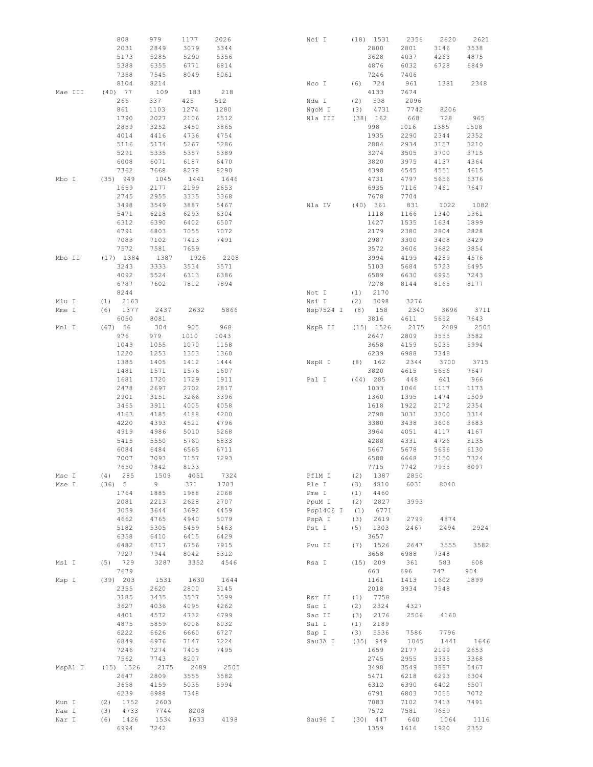|         | 808         | 979  | 1177 | 2026 | Nci I     |     | $(18)$ 1531 | 2356 | 2620 | 2621 |
|---------|-------------|------|------|------|-----------|-----|-------------|------|------|------|
|         | 2031        | 2849 | 3079 | 3344 |           |     | 2800        | 2801 | 3146 | 3538 |
|         | 5173        | 5285 | 5290 | 5356 |           |     | 3628        | 4037 | 4263 | 4875 |
|         | 5388        | 6355 | 6771 | 6814 |           |     | 4876        | 6032 | 6728 | 6849 |
|         | 7358        | 7545 | 8049 | 8061 |           |     | 7246        | 7406 |      |      |
|         |             |      |      |      |           |     |             |      |      |      |
|         | 8104        | 8214 |      |      | Nco I     | (6) | 724         | 961  | 1381 | 2348 |
| Mae III | $(40)$ 77   | 109  | 183  | 218  |           |     | 4133        | 7674 |      |      |
|         | 266         | 337  | 425  | 512  | Nde I     | (2) | 598         | 2096 |      |      |
|         | 861         | 1103 | 1274 | 1280 | NgoM I    | (3) | 4731        | 7742 | 8206 |      |
|         | 1790        | 2027 | 2106 | 2512 | Nla III   |     | $(38)$ 162  | 668  | 728  | 965  |
|         | 2859        | 3252 | 3450 | 3865 |           |     | 998         | 1016 | 1385 | 1508 |
|         | 4014        | 4416 | 4736 | 4754 |           |     | 1935        | 2290 | 2344 | 2352 |
|         |             |      |      |      |           |     |             |      |      |      |
|         | 5116        | 5174 | 5267 | 5286 |           |     | 2884        | 2934 | 3157 | 3210 |
|         | 5291        | 5335 | 5357 | 5389 |           |     | 3274        | 3505 | 3700 | 3715 |
|         | 6008        | 6071 | 6187 | 6470 |           |     | 3820        | 3975 | 4137 | 4364 |
|         | 7362        | 7668 | 8278 | 8290 |           |     | 4398        | 4545 | 4551 | 4615 |
| Mbo I   | (35) 949    | 1045 | 1441 | 1646 |           |     | 4731        | 4797 | 5656 | 6376 |
|         | 1659        | 2177 | 2199 | 2653 |           |     | 6935        | 7116 | 7461 | 7647 |
|         |             |      |      |      |           |     |             |      |      |      |
|         | 2745        | 2955 | 3335 | 3368 |           |     | 7678        | 7704 |      |      |
|         | 3498        | 3549 | 3887 | 5467 | Nla IV    |     | (40) 361    | 831  | 1022 | 1082 |
|         | 5471        | 6218 | 6293 | 6304 |           |     | 1118        | 1166 | 1340 | 1361 |
|         | 6312        | 6390 | 6402 | 6507 |           |     | 1427        | 1535 | 1634 | 1899 |
|         | 6791        | 6803 | 7055 | 7072 |           |     | 2179        | 2380 | 2804 | 2828 |
|         | 7083        | 7102 | 7413 | 7491 |           |     | 2987        | 3300 | 3408 | 3429 |
|         |             |      |      |      |           |     |             |      |      |      |
|         | 7572        | 7581 | 7659 |      |           |     | 3572        | 3606 | 3682 | 3854 |
| Mbo II  | $(17)$ 1384 | 1387 | 1926 | 2208 |           |     | 3994        | 4199 | 4289 | 4576 |
|         | 3243        | 3333 | 3534 | 3571 |           |     | 5103        | 5684 | 5723 | 6495 |
|         | 4092        | 5524 | 6313 | 6386 |           |     | 6589        | 6630 | 6995 | 7243 |
|         |             |      |      |      |           |     |             |      |      |      |
|         | 6787        | 7602 | 7812 | 7894 |           |     | 7278        | 8144 | 8165 | 8177 |
|         | 8244        |      |      |      | Not I     | (1) | 2170        |      |      |      |
| Mlu I   | 2163<br>(1) |      |      |      | Nsi I     | (2) | 3098        | 3276 |      |      |
| Mme I   | (6)<br>1377 | 2437 | 2632 | 5866 | Nsp7524 I |     | $(8)$ 158   | 2340 | 3696 | 3711 |
|         | 6050        | 8081 |      |      |           |     | 3816        | 4611 | 5652 | 7643 |
| Mnl I   | (67) 56     | 304  | 905  | 968  | NspB II   |     | $(15)$ 1526 | 2175 | 2489 | 2505 |
|         |             |      |      |      |           |     |             |      |      |      |
|         | 976         | 979  | 1010 | 1043 |           |     | 2647        | 2809 | 3555 | 3582 |
|         | 1049        | 1055 | 1070 | 1158 |           |     | 3658        | 4159 | 5035 | 5994 |
|         | 1220        | 1253 | 1303 | 1360 |           |     | 6239        | 6988 | 7348 |      |
|         | 1385        | 1405 | 1412 | 1444 | NspH I    | (8) | 162         | 2344 | 3700 | 3715 |
|         | 1481        | 1571 | 1576 | 1607 |           |     | 3820        | 4615 | 5656 | 7647 |
|         |             |      |      |      |           |     |             |      |      |      |
|         | 1681        | 1720 | 1729 | 1911 | Pal I     |     | $(44)$ 285  | 448  | 641  | 966  |
|         | 2478        | 2697 | 2702 | 2817 |           |     | 1033        | 1066 | 1117 | 1173 |
|         | 2901        | 3151 | 3266 | 3396 |           |     | 1360        | 1395 | 1474 | 1509 |
|         | 3465        | 3911 | 4005 | 4058 |           |     | 1618        | 1922 | 2172 | 2354 |
|         | 4163        | 4185 | 4188 | 4200 |           |     | 2798        | 3031 | 3300 | 3314 |
|         |             |      |      |      |           |     |             |      |      |      |
|         | 4220        | 4393 | 4521 | 4796 |           |     | 3380        | 3438 | 3606 | 3683 |
|         | 4919        | 4986 | 5010 | 5268 |           |     | 3964        | 4051 | 4117 | 4167 |
|         | 5415        | 5550 | 5760 | 5833 |           |     | 4288        | 4331 | 4726 | 5135 |
|         | 6084        | 6484 | 6565 | 6711 |           |     | 5667        | 5678 | 5696 | 6130 |
|         | 7007        | 7093 | 7157 | 7293 |           |     | 6588        | 6668 | 7150 | 7324 |
|         |             |      |      |      |           |     |             |      |      |      |
|         | 7650        | 7842 | 8133 |      |           |     | 7715        | 7742 | 7955 | 8097 |
| Msc I   | 285<br>(4)  | 1509 | 4051 | 7324 | PflM I    | (2) | 1387        | 2850 |      |      |
| Mse I   | (36) 5      | 9    | 371  | 1703 | Ple I     | (3) | 4810        | 6031 | 8040 |      |
|         | 1764        | 1885 | 1988 | 2068 | Pme I     | (1) | 4460        |      |      |      |
|         | 2081        | 2213 | 2628 | 2707 | PpuM I    | (2) | 2827        | 3993 |      |      |
|         | 3059        | 3644 | 3692 | 4459 | Psp1406 I | (1) | 6771        |      |      |      |
|         |             |      |      |      |           |     |             |      |      |      |
|         | 4662        | 4765 | 4940 | 5079 | PspA I    | (3) | 2619        | 2799 | 4874 |      |
|         | 5182        | 5305 | 5459 | 5463 | Pst I     | (5) | 1303        | 2467 | 2494 | 2924 |
|         | 6358        | 6410 | 6415 | 6429 |           |     | 3657        |      |      |      |
|         | 6482        | 6717 | 6756 | 7915 | Pvu II    | (7) | 1526        | 2647 | 3555 | 3582 |
|         | 7927        | 7944 | 8042 | 8312 |           |     | 3658        | 6988 | 7348 |      |
| Msl I   | 729<br>(5)  | 3287 | 3352 | 4546 | Rsa I     |     | (15) 209    | 361  | 583  | 608  |
|         |             |      |      |      |           |     |             |      |      |      |
|         | 7679        |      |      |      |           |     | 663         | 696  | 747  | 904  |
| Msp I   | $(39)$ 203  | 1531 | 1630 | 1644 |           |     | 1161        | 1413 | 1602 | 1899 |
|         | 2355        | 2620 | 2800 | 3145 |           |     | 2018        | 3934 | 7548 |      |
|         | 3185        | 3435 | 3537 | 3599 | Rsr II    | (1) | 7758        |      |      |      |
|         | 3627        | 4036 | 4095 | 4262 | Sac I     | (2) | 2324        | 4327 |      |      |
|         |             |      |      |      |           |     |             |      |      |      |
|         | 4401        | 4572 | 4732 | 4799 | Sac II    | (3) | 2176        | 2506 | 4160 |      |
|         | 4875        | 5859 | 6006 | 6032 | Sal I     | (1) | 2189        |      |      |      |
|         | 6222        | 6626 | 6660 | 6727 | Sap I     | (3) | 5536        | 7586 | 7796 |      |
|         | 6849        | 6976 | 7147 | 7224 | Sau3A I   |     | (35) 949    | 1045 | 1441 | 1646 |
|         | 7246        | 7274 | 7405 | 7495 |           |     | 1659        | 2177 | 2199 | 2653 |
|         |             |      |      |      |           |     |             |      |      |      |
|         | 7562        | 7743 | 8207 |      |           |     | 2745        | 2955 | 3335 | 3368 |
| MspA1 I | $(15)$ 1526 | 2175 | 2489 | 2505 |           |     | 3498        | 3549 | 3887 | 5467 |
|         | 2647        | 2809 | 3555 | 3582 |           |     | 5471        | 6218 | 6293 | 6304 |
|         | 3658        | 4159 | 5035 | 5994 |           |     | 6312        | 6390 | 6402 | 6507 |
|         | 6239        | 6988 | 7348 |      |           |     | 6791        | 6803 | 7055 | 7072 |
|         |             |      |      |      |           |     |             |      |      | 7491 |
| Mun I   | 1752<br>(2) | 2603 |      |      |           |     | 7083        | 7102 | 7413 |      |
| Nae I   | (3)<br>4733 | 7744 | 8208 |      |           |     | 7572        | 7581 | 7659 |      |
| Nar I   | (6)<br>1426 | 1534 | 1633 | 4198 | Sau96 I   |     | $(30)$ 447  | 640  | 1064 | 1116 |
|         | 6994        | 7242 |      |      |           |     | 1359        | 1616 | 1920 | 2352 |
|         |             |      |      |      |           |     |             |      |      |      |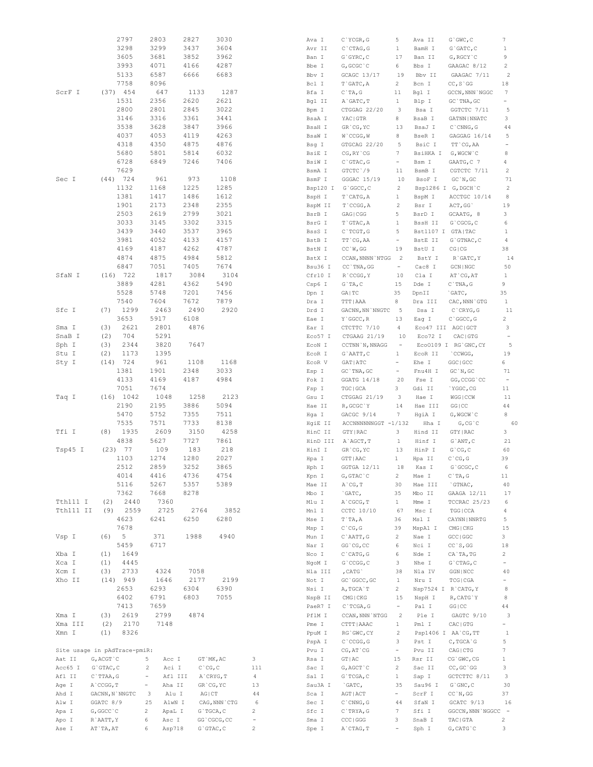|                |           |                        | 2797                         | 2803                               | 2827                      | 3030                             |                     | Ava I          | $C$ `YCGR, G            | 5                          | Ava II              | $G$ $GWC$ , $C$            | 7                                         |
|----------------|-----------|------------------------|------------------------------|------------------------------------|---------------------------|----------------------------------|---------------------|----------------|-------------------------|----------------------------|---------------------|----------------------------|-------------------------------------------|
|                |           |                        | 3298                         | 3299                               | 3437                      | 3604                             |                     | Avr II         | $C$ ctag, $G$           | 1                          | BamH I              | $G$ $GATC$ , $C$           | $\mathbf{1}$                              |
|                |           |                        | 3605                         | 3681                               | 3852                      | 3962                             |                     | Ban I          | $G$ GYRC, $C$           | 17                         | Ban II              | G, RGCY `C                 | 9                                         |
|                |           |                        | 3993                         | 4071                               | 4166                      | 4287                             |                     | Bbe I          | G, GCGC `C              | 6                          | Bbs I               | GAAGAC 8/12                | $\overline{c}$                            |
|                |           |                        | 5133                         | 6587                               | 6666                      | 6683                             |                     | Bbv I          | GCAGC 13/17             | 19                         | Bbv II              | GAAGAC 7/11                | $\overline{c}$                            |
|                |           |                        | 7758                         | 8096                               |                           |                                  |                     | Bcl I          | T`GATC, A               | 2                          |                     |                            | 18                                        |
|                |           |                        |                              |                                    |                           |                                  |                     |                |                         |                            | Bcn I               | $CC, S$ GG                 |                                           |
| ScrF I         |           |                        | $(37)$ 454                   | 647                                | 1133                      | 1287                             |                     | Bfa I          | $C$ TA, G               | 11                         | Bgl I               | GCCN, NNN `NGGC            | 7                                         |
|                |           |                        | 1531                         | 2356                               | 2620                      | 2621                             |                     | Bgl II         | A`GATC, T               | $\mathbf{1}$               | Blp I               | GC `TNA, GC                | ÷                                         |
|                |           |                        | 2800                         | 2801                               | 2845                      | 3022                             |                     | Bpm I          | CTGGAG 22/20            | 3                          | Bsa I               | GGTCTC 7/11                | 5                                         |
|                |           |                        | 3146                         | 3316                               | 3361                      | 3441                             |                     | BsaA I         | YAC   GTR               | 8                          | BsaB I              | GATNN   NNATC              | 3                                         |
|                |           |                        | 3538                         | 3628                               | 3847                      | 3966                             |                     | BsaH I         | GR'CG, YC               | 13                         | BsaJ I              | $C$ $CMNG$ , $G$           | 44                                        |
|                |           |                        | 4037                         | 4053                               | 4119                      | 4263                             |                     | BsaW I         | W`CCGG, W               | 8                          | BseR I              | GAGGAG 16/14               | 5                                         |
|                |           |                        | 4318                         | 4350                               | 4875                      | 4876                             |                     | Bsg I          | GTGCAG 22/20            | 5                          | BsiC I              | TT CG, AA                  | $\frac{1}{2}$                             |
|                |           |                        | 5680                         | 5801                               | 5814                      | 6032                             |                     | BsiE I         | CG, RY CG               | 7                          | BsiHKA I G, WGCW `C |                            | 8                                         |
|                |           |                        | 6728                         | 6849                               | 7246                      | 7406                             |                     | BsiW I         | $C$ GTAC, G             | $\equiv$                   | Bsm I               | GAATG, C 7                 | 4                                         |
|                |           |                        | 7629                         |                                    |                           |                                  |                     |                |                         |                            |                     |                            |                                           |
|                |           |                        |                              |                                    |                           |                                  |                     | BsmA I         | GTCTC 79                | 11                         | BsmB I              | CGTCTC 7/11                | 2                                         |
| Sec I          |           |                        | $(44)$ 724                   | 961                                | 973                       | 1108                             |                     | BsmF I         | GGGAC 15/19             | 10                         | BsoF I              | GC'N, GC                   | 71                                        |
|                |           |                        | 1132                         | 1168                               | 1225                      | 1285                             |                     | Bsp120 I       | G`GGCC, C               | 2                          |                     | Bsp1286 I G, DGCH C        | 2                                         |
|                |           |                        | 1381                         | 1417                               | 1486                      | 1612                             |                     | BspH I         | T`CATG, A               | $\mathbf{1}$               | BspM I              | ACCTGC 10/14               | 8                                         |
|                |           |                        | 1901                         | 2173                               | 2348                      | 2355                             |                     | BspM II        | $T$ cccc, $A$           | 2                          | Bsr I               | ACT, GG                    | 19                                        |
|                |           |                        | 2503                         | 2619                               | 2799                      | 3021                             |                     | BsrB I         | GAG   CGG               | 5                          | BsrD I              | GCAATG, 8                  | 3                                         |
|                |           |                        | 3033                         | 3145                               | 3302                      | 3315                             |                     | BsrG I         | T`GTAC, A               | 1                          | BssH II             | G`CGCG, C                  | 6                                         |
|                |           |                        | 3439                         | 3440                               | 3537                      | 3965                             |                     | BssS I         | $C$ TCGT, G             | 5                          | Bst1107 I GTA TAC   |                            | $\mathbf{1}$                              |
|                |           |                        | 3981                         | 4052                               | 4133                      | 4157                             |                     | BstB I         | TT CG, AA               | $\equiv$                   | BstE II             | $G$ GTNAC, $C$             | $\overline{4}$                            |
|                |           |                        | 4169                         | 4187                               | 4262                      | 4787                             |                     | BstN I         | CC'W, GG                | 19                         | BstU I              | CG   CG                    | 38                                        |
|                |           |                        | 4874                         | 4875                               | 4984                      | 5812                             |                     |                | CCAN, NNNN `NTGG        | $\overline{\phantom{0}}^2$ | BstY I              | R`GATC, Y                  | 14                                        |
|                |           |                        |                              |                                    |                           |                                  |                     | BstX I         |                         |                            |                     |                            |                                           |
|                |           |                        | 6847                         | 7051                               | 7405                      | 7674                             |                     | Bsu36 I        | CC `TNA, GG             | $\equiv$                   | Cac8 I              | GCN   NGC                  | 50                                        |
| SfaN I         |           |                        | $(16)$ 722                   | 1817                               | 3084                      | 3104                             |                     | Cfr10 I        | R`CCGG, Y               | 10                         | Cla I               | AT `CG, AT                 | $\mathbf{1}$                              |
|                |           |                        | 3889                         | 4281                               | 4362                      | 5490                             |                     | Csp6 I         | $G$ TA, $C$             | 15                         | Dde I               | $C$ TNA, $G$               | 9                                         |
|                |           |                        | 5528                         | 5748                               | 7201                      | 7456                             |                     | Dpn I          | GA   TC                 | 35                         | DpnII               | `GATC,                     | 35                                        |
|                |           |                        | 7540                         | 7604                               | 7672                      | 7879                             |                     | Dra I          | TTT   AAA               | 8                          | Dra III             | CAC, NNN `GTG              | $\mathbf{1}$                              |
| Sfc I          |           | (7)                    | 1299                         | 2463                               | 2490                      | 2920                             |                     | Drd I          | GACNN, NN `NNGTC        | $-5$                       | Dsa I               | $C$ $CRYG$ , $G$           | 11                                        |
|                |           |                        | 3653                         | 5917                               | 6108                      |                                  |                     | Eae I          | Y `GGCC, R              | 13                         | Eag I               | C `GGCC, G                 | $\mathbf{2}$                              |
| Sma I          |           | (3)                    | 2621                         | 2801                               | 4876                      |                                  |                     | Ear I          | CTCTTC 7/10             | 4                          | Eco47 III AGC GCT   |                            | 3                                         |
| SnaB I         |           | (2)                    | 704                          | 5291                               |                           |                                  |                     | Eco57 I        | CTGAAG 21/19            | 10                         | Eco72 I             | CAC   GTG                  | $\overline{\phantom{a}}$                  |
| Sph I          |           | (3)                    | 2344                         | 3820                               | 7647                      |                                  |                     |                | CCTNN `N, NNAGG         | $\overline{\phantom{a}}$   |                     | Eco0109 I RG'GNC, CY       | 5                                         |
|                |           |                        |                              |                                    |                           |                                  |                     | ECON I         |                         |                            |                     |                            |                                           |
| Stu I          |           | (2)                    | 1173                         | 1395                               |                           |                                  |                     | ECOR I         | $G$ AATT, $C$           | $\mathbf{1}$               | ECOR II             | `CCWGG,                    | 19                                        |
| Sty I          |           |                        | $(14)$ 724                   | 961                                | 1108                      | 1168                             |                     | ECOR V         | GAT   ATC               | $\equiv$                   | Ehe I               | GGC   GCC                  | 6                                         |
|                |           |                        | 1381                         | 1901                               | 2348                      | 3033                             |                     | Esp I          | GC `TNA, GC             | $\equiv$                   | Fnu4H I             | GC'N, GC                   | 71                                        |
|                |           |                        | 4133                         | 4169                               | 4187                      | 4984                             |                     | Fok I          | GGATG 14/18             | 20                         | Fse I               | GG, CCGG `CC               | $\qquad \qquad \blacksquare$              |
|                |           |                        | 7051                         | 7674                               |                           |                                  |                     | Fsp I          | TGC   GCA               | 3                          | Gdi II              | `YGGC, CG                  | 11                                        |
| Taq I          |           |                        | $(16)$ 1042                  | 1048                               | 1258                      | 2123                             |                     | Gsu I          | CTGGAG 21/19            | 3                          | Hae I               | WGG   CCW                  | 11                                        |
|                |           |                        | 2190                         | 2195                               | 3886                      | 5094                             |                     | Hae II         | R, GCGC `Y              | 14                         | Hae III             | GG   CC                    | 44                                        |
|                |           |                        |                              | 5752                               | 7355                      | 7511                             |                     |                | GACGC 9/14              | 7                          | HgiA I              | G, WGCW `C                 | 8                                         |
|                |           |                        |                              |                                    |                           |                                  |                     |                |                         |                            |                     |                            |                                           |
|                |           |                        | 5470                         |                                    |                           |                                  |                     | Hga I          |                         |                            |                     |                            |                                           |
|                |           |                        | 7535                         | 7571                               | 7733                      | 8138                             |                     | HgiE II        | ACCNNNNNNGGT -1/132     |                            | Hha I               | G, CG, C                   | 60                                        |
| Tfi I          |           | (8)                    | 1935                         | 2609                               | 3150                      | 4258                             |                     | HinC II        | GTY   RAC               | 3                          | Hind II             | GTY   RAC                  | 3                                         |
|                |           |                        | 4838                         | 5627                               | 7727                      | 7861                             |                     | HinD III       | A`AGCT, T               | $\mathbf{1}$               | Hinf I              | $G$ ANT, $C$               | 21                                        |
| Tsp45 I        |           |                        | $(23)$ 77                    | 109                                | 183                       | 218                              |                     | HinI I         | GR'CG, YC               | 13                         | HinP I              | $G$ $^{\circ}$ CG, C       | 60                                        |
|                |           |                        | 1103                         | 1274                               | 1280                      | 2027                             |                     | Hpa I          | GTT   AAC               | $\mathbf{1}$               | Hpa II              | $C$ $CG, G$                | 39                                        |
|                |           |                        | 2512                         | 2859                               | 3252                      | 3865                             |                     | Hph I          | GGTGA 12/11             | 18                         | Kas I               | G`GCGC, C                  | 6                                         |
|                |           |                        | 4014                         | 4416                               | 4736                      | 4754                             |                     | Kpn I          | $G$ , $GTAC$ $C$        | 2                          | Mae I               | $C$ TA, G                  | 11                                        |
|                |           |                        | 5116                         | 5267                               | 5357                      | 5389                             |                     | Mae II         | $A^{\dagger}CG, T$      | 30                         | Mae III             | `GTNAC,                    | 40                                        |
|                |           |                        |                              |                                    |                           |                                  |                     |                | `GATC,                  |                            |                     |                            | 17                                        |
|                |           |                        | 7362                         | 7668                               | 8278                      |                                  |                     | Mbo I          |                         | 35                         | Mbo II              | GAAGA 12/11                |                                           |
| Tth111 I       |           | (2)                    | 2440                         | 7360                               |                           |                                  |                     | Mlu I          | A`CGCG, T               | $\mathbf{1}$               | Mme I               | TCCRAC 25/23               | 6                                         |
|                | Tth111 II | (9)                    | 2559                         | 2725                               | 2764                      | 3852                             |                     | Mnl I          | CCTC 10/10              | 67                         | Msc I               | TGG   CCA                  | 4                                         |
|                |           |                        | 4623                         | 6241                               | 6250                      | 6280                             |                     | Mse I          | $T$ $TA, A$             | 36                         | Msl I               | CAYNN   NNRTG              | 5                                         |
|                |           |                        | 7678                         |                                    |                           |                                  |                     | Msp I          | $C^{\infty}CG$ , $G$    | 39                         | MspA1 I             | CMG   CKG                  | 15                                        |
| Vsp I          |           | (6)                    | 5                            | 371                                | 1988                      | 4940                             |                     | Mun I          | C`AATT, G               | $\overline{c}$             | Nae I               | GCC   GGC                  | 3                                         |
|                |           |                        | 5459                         | 6717                               |                           |                                  |                     | Nar I          | GG 'CG, CC              | 6                          | Nci I               | CC S, GG                   | 18                                        |
| Xba I          |           | (1)                    | 1649                         |                                    |                           |                                  |                     | Nco I          | $C$ $CATG$ , $G$        | 6                          | Nde I               | CA`TA, TG                  | 2                                         |
| Xca I          |           | (1)                    | 4445                         |                                    |                           |                                  |                     | NgoM I         | $G$ $CCGG$ , $C$        | 3                          | Nhe I               | $G$ $CTAG$ , $C$           | $\equiv$                                  |
| Xcm I          |           | (3)                    | 2733                         | 4324                               | 7058                      |                                  |                     | Nla III        | , CATG                  | 38                         | Nla IV              | GGN   NCC                  | 40                                        |
| Xho II         |           |                        | $(14)$ 949                   | 1646                               | 2177                      | 2199                             |                     | Not I          | GC `GGCC, GC            | $\mathbf{1}$               | Nru I               | TCG   CGA                  | $\equiv$                                  |
|                |           |                        | 2653                         | 6293                               | 6304                      | 6390                             |                     | Nsi I          | A, TGCA`T               | $\mathbf{2}^{\prime}$      | Nsp7524 I R'CATG, Y |                            | 8                                         |
|                |           |                        | 6402                         | 6791                               | 6803                      | 7055                             |                     | NspB II        | CMG   CKG               | 15                         | NspH I              | R, CATG`Y                  | 8                                         |
|                |           |                        |                              |                                    |                           |                                  |                     |                |                         | $\equiv$                   |                     |                            |                                           |
|                |           |                        | 7413                         | 7659                               |                           |                                  |                     | PaeR7 I        | $C$ TCGA, G             |                            | Pal I               | GG   CC                    | 44                                        |
| Xma I          |           | (3)                    | 2619                         | 2799                               | 4874                      |                                  |                     | PflM I         | CCAN, NNN `NTGG         | $\overline{c}$             | Ple I               | GAGTC 9/10                 | 3                                         |
| Xma III        |           | (2)                    | 2170                         | 7148                               |                           |                                  |                     | Pme I          | CTTT   AAAC             | $\mathbf{1}$               | Pml I               | ${\rm CAC}\mid {\rm GTG}$  | $\overline{\phantom{a}}$                  |
| Xmn I          |           | (1)                    | 8326                         |                                    |                           |                                  |                     | PpuM I         | RG GWC, CY              | $\overline{c}$             |                     | Psp1406 I AA`CG, TT        | $\mathbf{1}$                              |
|                |           |                        |                              |                                    |                           |                                  |                     | PspA I         | $C$ $CCGG, G$           | 3                          | Pst I               | C, TGCA G                  | 5                                         |
|                |           |                        | Site usage in pAdTrace-pmiR: |                                    |                           |                                  |                     | Pvu I          | $CG, AT$ $CG$           | ÷                          | Pvu II              | CAG   CTG                  | 7                                         |
| Aat II         |           | G, ACGT `C             |                              | 5<br>Acc I                         |                           | GT `MK, AC                       | 3                   | Rsa I          | GT   AC                 | 15                         | Rsr II              | CG GWC, CG                 | $\mathbf{1}$                              |
| Acc65 I        |           | $G$ GTAC, $C$          |                              | Aci I<br>$\overline{\mathbf{c}}$   | $C$ $^{\circ}$ $CG$ , $C$ |                                  | 111                 | Sac I          | G, AGCT `C              | $\mathbf{2}$               | Sac II              | CC, GC `GG                 | 3                                         |
| Afl II         |           | $C$ `TTAA, G           |                              | Afl III<br>$\qquad \qquad -$       |                           | A`CRYG, T                        | $\overline{4}$      | Sal I          | G`TCGA, C               | $\mathbf{1}$               | Sap I               | GCTCTTC 8/11               | 3                                         |
| Age I          |           | A`CCGG, T              |                              | Aha II<br>$\overline{\phantom{a}}$ |                           | GR`CG, YC                        | 13                  | Sau3A I        | `GATC,                  | 35                         | Sau96 I             | $G$ $^{\circ}$ GNC, C      | 30                                        |
| Ahd I          |           |                        | GACNN, N`NNGTC               | Alu I<br>3                         | AG   CT                   |                                  | 44                  | Sca I          | AGT   ACT               | $\blacksquare$             | ScrF I              | CC'N, GG                   | 37                                        |
|                |           |                        |                              |                                    |                           |                                  |                     |                |                         |                            |                     |                            |                                           |
| Alw I          |           | GGATC 8/9              |                              | 25<br>AlwN I                       |                           | CAG, NNN `CTG                    | 6                   | Sec I          | $C$ $\cap$ $CNNG$ , $G$ | 44                         | SfaN I              | GCATC 9/13                 | 16                                        |
| Apa I          |           | G, GGCC C              |                              | $\overline{c}$<br>ApaL I           |                           | G`TGCA, C                        | $\sqrt{2}$          | Sfc I          | $C$ `TRYA, G            | $7\phantom{.0}$            | Sfi I               | GGCCN, NNN `NGGCC -        |                                           |
| Apo I<br>Ase I |           | R`AATT, Y<br>AT`TA, AT |                              | 6<br>Asc I<br>Asp718<br>6          |                           | GG `CGCG, CC<br>$G$ $GTAC$ , $C$ | ÷<br>$\overline{c}$ | Sma I<br>Spe I | CCC   GGG<br>A`CTAG, T  | 3<br>$\equiv$              | SnaB I<br>Sph I     | TAC   GTA<br>$G, CATG$ $C$ | $\overline{c}$<br>$\overline{\mathbf{3}}$ |